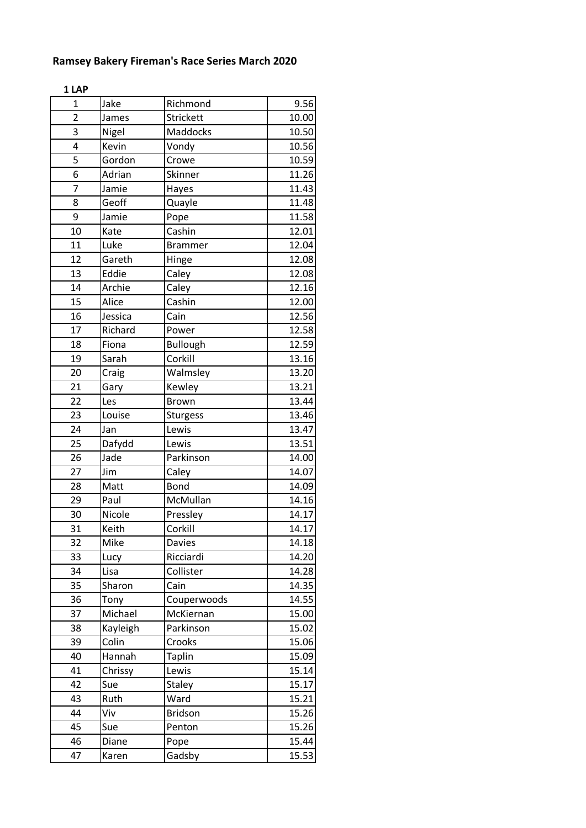| 1 LAP          |          |                 |       |
|----------------|----------|-----------------|-------|
| $\overline{1}$ | Jake     | Richmond        | 9.56  |
| $\overline{2}$ | James    | Strickett       | 10.00 |
| 3              | Nigel    | Maddocks        | 10.50 |
| 4              | Kevin    | Vondy           | 10.56 |
| 5              | Gordon   | Crowe           | 10.59 |
| 6              | Adrian   | Skinner         | 11.26 |
| $\overline{7}$ | Jamie    | Hayes           | 11.43 |
| 8              | Geoff    | Quayle          | 11.48 |
| 9              | Jamie    | Pope            | 11.58 |
| 10             | Kate     | Cashin          | 12.01 |
| 11             | Luke     | <b>Brammer</b>  | 12.04 |
| 12             | Gareth   | Hinge           | 12.08 |
| 13             | Eddie    | Caley           | 12.08 |
| 14             | Archie   | Caley           | 12.16 |
| 15             | Alice    | Cashin          | 12.00 |
| 16             | Jessica  | Cain            | 12.56 |
| 17             | Richard  | Power           | 12.58 |
| 18             | Fiona    | <b>Bullough</b> | 12.59 |
| 19             | Sarah    | Corkill         | 13.16 |
| 20             | Craig    | Walmsley        | 13.20 |
| 21             | Gary     | Kewley          | 13.21 |
| 22             | Les      | <b>Brown</b>    | 13.44 |
| 23             | Louise   | <b>Sturgess</b> | 13.46 |
| 24             | Jan      | Lewis           | 13.47 |
| 25             | Dafydd   | Lewis           | 13.51 |
| 26             | Jade     | Parkinson       | 14.00 |
| 27             | Jim      | Caley           | 14.07 |
| 28             | Matt     | <b>Bond</b>     | 14.09 |
| 29             | Paul     | McMullan        | 14.16 |
| 30             | Nicole   | Pressley        | 14.17 |
| 31             | Keith    | Corkill         | 14.17 |
| 32             | Mike     | <b>Davies</b>   | 14.18 |
| 33             | Lucy     | Ricciardi       | 14.20 |
| 34             | Lisa     | Collister       | 14.28 |
| 35             | Sharon   | Cain            | 14.35 |
| 36             | Tony     | Couperwoods     | 14.55 |
| 37             | Michael  | McKiernan       | 15.00 |
| 38             | Kayleigh | Parkinson       | 15.02 |
| 39             | Colin    | Crooks          | 15.06 |
| 40             | Hannah   | <b>Taplin</b>   | 15.09 |
| 41             | Chrissy  | Lewis           | 15.14 |
| 42             | Sue      | <b>Staley</b>   | 15.17 |
| 43             | Ruth     | Ward            | 15.21 |
| 44             | Viv      | <b>Bridson</b>  | 15.26 |
| 45             | Sue      | Penton          | 15.26 |
| 46             | Diane    | Pope            | 15.44 |
| 47             | Karen    | Gadsby          | 15.53 |
|                |          |                 |       |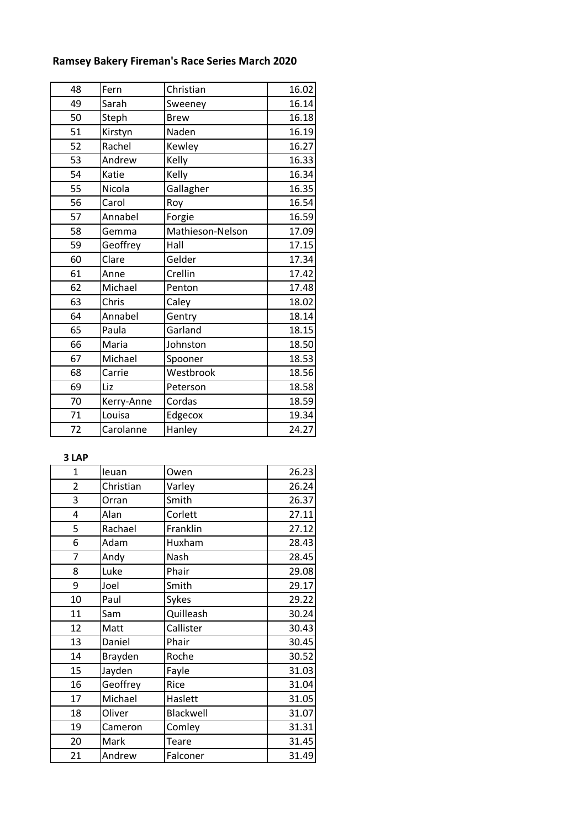| 48 | Fern       | Christian        | 16.02 |
|----|------------|------------------|-------|
| 49 | Sarah      | Sweeney          | 16.14 |
| 50 | Steph      | <b>Brew</b>      | 16.18 |
| 51 | Kirstyn    | Naden            | 16.19 |
| 52 | Rachel     | Kewley           | 16.27 |
| 53 | Andrew     | Kelly            | 16.33 |
| 54 | Katie      | Kelly            | 16.34 |
| 55 | Nicola     | Gallagher        | 16.35 |
| 56 | Carol      | Roy              | 16.54 |
| 57 | Annabel    | Forgie           | 16.59 |
| 58 | Gemma      | Mathieson-Nelson | 17.09 |
| 59 | Geoffrey   | Hall             | 17.15 |
| 60 | Clare      | Gelder           | 17.34 |
| 61 | Anne       | Crellin          | 17.42 |
| 62 | Michael    | Penton           | 17.48 |
| 63 | Chris      | Caley            | 18.02 |
| 64 | Annabel    | Gentry           | 18.14 |
| 65 | Paula      | Garland          | 18.15 |
| 66 | Maria      | Johnston         | 18.50 |
| 67 | Michael    | Spooner          | 18.53 |
| 68 | Carrie     | Westbrook        | 18.56 |
| 69 | Liz        | Peterson         | 18.58 |
| 70 | Kerry-Anne | Cordas           | 18.59 |
| 71 | Louisa     | Edgecox          | 19.34 |
| 72 | Carolanne  | Hanley           | 24.27 |

## **3 LAP**

| $\mathbf{1}$   | leuan     | Owen      | 26.23 |
|----------------|-----------|-----------|-------|
| $\overline{2}$ | Christian | Varley    | 26.24 |
| 3              | Orran     | Smith     | 26.37 |
| 4              | Alan      | Corlett   | 27.11 |
| 5              | Rachael   | Franklin  | 27.12 |
| 6              | Adam      | Huxham    | 28.43 |
| 7              | Andy      | Nash      | 28.45 |
| 8              | Luke      | Phair     | 29.08 |
| 9              | Joel      | Smith     | 29.17 |
| 10             | Paul      | Sykes     | 29.22 |
| 11             | Sam       | Quilleash | 30.24 |
| 12             | Matt      | Callister | 30.43 |
| 13             | Daniel    | Phair     | 30.45 |
| 14             | Brayden   | Roche     | 30.52 |
| 15             | Jayden    | Fayle     | 31.03 |
| 16             | Geoffrey  | Rice      | 31.04 |
| 17             | Michael   | Haslett   | 31.05 |
| 18             | Oliver    | Blackwell | 31.07 |
| 19             | Cameron   | Comley    | 31.31 |
| 20             | Mark      | Teare     | 31.45 |
| 21             | Andrew    | Falconer  | 31.49 |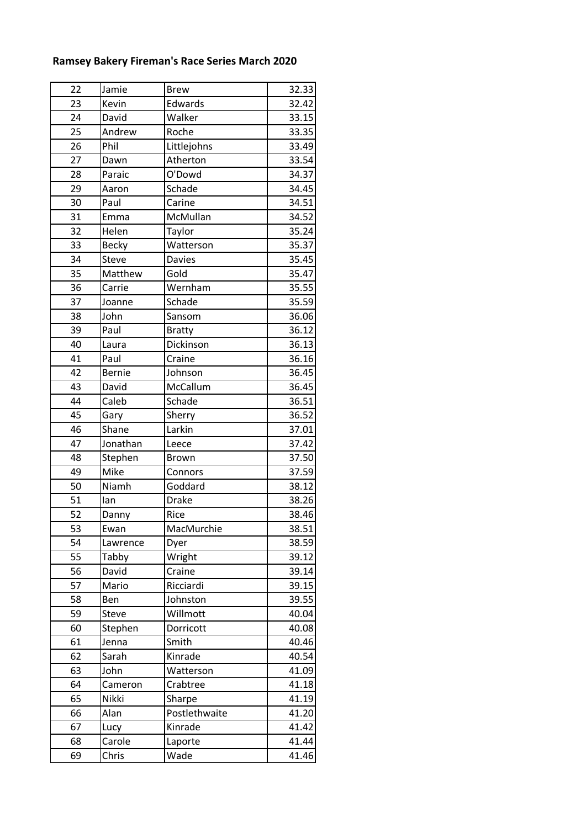| 22 | Jamie         | <b>Brew</b>   | 32.33 |
|----|---------------|---------------|-------|
| 23 | Kevin         | Edwards       | 32.42 |
| 24 | David         | Walker        | 33.15 |
| 25 | Andrew        | Roche         | 33.35 |
| 26 | Phil          | Littlejohns   | 33.49 |
| 27 | Dawn          | Atherton      | 33.54 |
| 28 | Paraic        | O'Dowd        | 34.37 |
| 29 | Aaron         | Schade        | 34.45 |
| 30 | Paul          | Carine        | 34.51 |
| 31 | Emma          | McMullan      | 34.52 |
| 32 | Helen         | Taylor        | 35.24 |
| 33 | <b>Becky</b>  | Watterson     | 35.37 |
| 34 | <b>Steve</b>  | <b>Davies</b> | 35.45 |
| 35 | Matthew       | Gold          | 35.47 |
| 36 | Carrie        | Wernham       | 35.55 |
| 37 | Joanne        | Schade        | 35.59 |
| 38 | John          | Sansom        | 36.06 |
| 39 | Paul          | <b>Bratty</b> | 36.12 |
| 40 | Laura         | Dickinson     | 36.13 |
| 41 | Paul          | Craine        | 36.16 |
| 42 | <b>Bernie</b> | Johnson       | 36.45 |
| 43 | David         | McCallum      | 36.45 |
| 44 | Caleb         | Schade        | 36.51 |
| 45 | Gary          | Sherry        | 36.52 |
| 46 | Shane         | Larkin        | 37.01 |
| 47 | Jonathan      | Leece         | 37.42 |
| 48 | Stephen       | <b>Brown</b>  | 37.50 |
| 49 | Mike          | Connors       | 37.59 |
| 50 | Niamh         | Goddard       | 38.12 |
| 51 | lan           | <b>Drake</b>  | 38.26 |
| 52 | Danny         | Rice          | 38.46 |
| 53 | Ewan          | MacMurchie    | 38.51 |
| 54 | Lawrence      | Dyer          | 38.59 |
| 55 | Tabby         | Wright        | 39.12 |
| 56 | David         | Craine        | 39.14 |
| 57 | Mario         | Ricciardi     | 39.15 |
| 58 | Ben           | Johnston      | 39.55 |
| 59 | <b>Steve</b>  | Willmott      | 40.04 |
| 60 | Stephen       | Dorricott     | 40.08 |
| 61 | Jenna         | Smith         | 40.46 |
| 62 | Sarah         | Kinrade       | 40.54 |
| 63 | John          | Watterson     | 41.09 |
| 64 | Cameron       | Crabtree      | 41.18 |
| 65 | Nikki         | Sharpe        | 41.19 |
| 66 | Alan          | Postlethwaite | 41.20 |
| 67 | Lucy          | Kinrade       | 41.42 |
| 68 | Carole        | Laporte       | 41.44 |
| 69 | Chris         | Wade          | 41.46 |